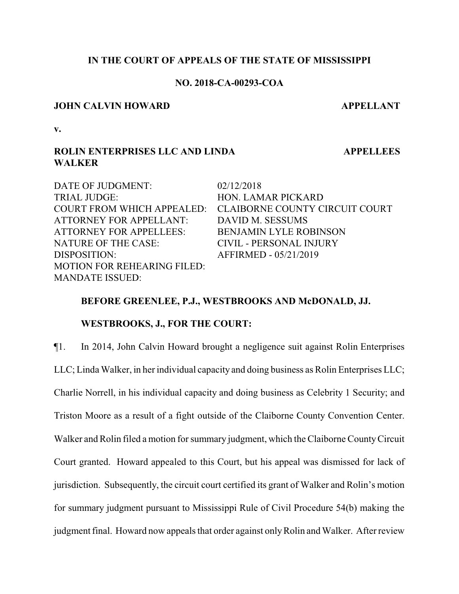## **IN THE COURT OF APPEALS OF THE STATE OF MISSISSIPPI**

## **NO. 2018-CA-00293-COA**

### **JOHN CALVIN HOWARD APPELLANT**

**APPELLEES**

**v.**

## **ROLIN ENTERPRISES LLC AND LINDA WALKER**

DATE OF JUDGMENT:  $02/12/2018$ TRIAL JUDGE: HON. LAMAR PICKARD COURT FROM WHICH APPEALED: CLAIBORNE COUNTY CIRCUIT COURT ATTORNEY FOR APPELLANT: DAVID M. SESSUMS ATTORNEY FOR APPELLEES: BENJAMIN LYLE ROBINSON NATURE OF THE CASE: CIVIL - PERSONAL INJURY DISPOSITION: AFFIRMED - 05/21/2019 MOTION FOR REHEARING FILED: MANDATE ISSUED:

## **BEFORE GREENLEE, P.J., WESTBROOKS AND McDONALD, JJ.**

## **WESTBROOKS, J., FOR THE COURT:**

¶1. In 2014, John Calvin Howard brought a negligence suit against Rolin Enterprises LLC; Linda Walker, in her individual capacity and doing business as Rolin Enterprises LLC; Charlie Norrell, in his individual capacity and doing business as Celebrity 1 Security; and Triston Moore as a result of a fight outside of the Claiborne County Convention Center. Walker and Rolin filed a motion for summary judgment, which the Claiborne CountyCircuit Court granted. Howard appealed to this Court, but his appeal was dismissed for lack of jurisdiction. Subsequently, the circuit court certified its grant of Walker and Rolin's motion for summary judgment pursuant to Mississippi Rule of Civil Procedure 54(b) making the judgment final. Howard now appeals that order against onlyRolin and Walker. After review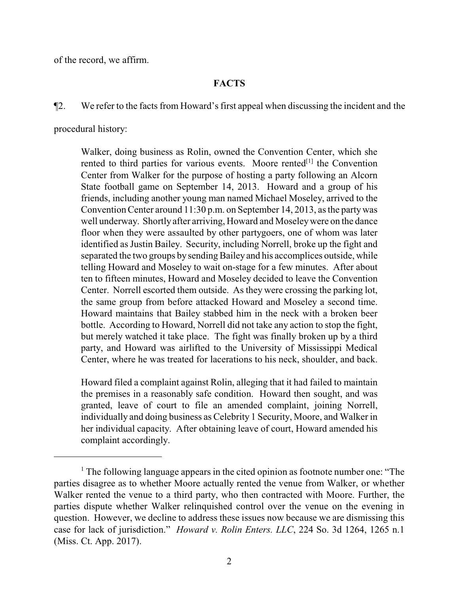of the record, we affirm.

# **FACTS**

# ¶2. We refer to the facts from Howard's first appeal when discussing the incident and the

procedural history:

Walker, doing business as Rolin, owned the Convention Center, which she rented to third parties for various events. Moore rented<sup>[1]</sup> the Convention Center from Walker for the purpose of hosting a party following an Alcorn State football game on September 14, 2013. Howard and a group of his friends, including another young man named Michael Moseley, arrived to the Convention Center around 11:30 p.m. on September 14, 2013, as the partywas well underway. Shortly after arriving, Howard and Moseley were on the dance floor when they were assaulted by other partygoers, one of whom was later identified as Justin Bailey. Security, including Norrell, broke up the fight and separated the two groups by sending Bailey and his accomplices outside, while telling Howard and Moseley to wait on-stage for a few minutes. After about ten to fifteen minutes, Howard and Moseley decided to leave the Convention Center. Norrell escorted them outside. As they were crossing the parking lot, the same group from before attacked Howard and Moseley a second time. Howard maintains that Bailey stabbed him in the neck with a broken beer bottle. According to Howard, Norrell did not take any action to stop the fight, but merely watched it take place. The fight was finally broken up by a third party, and Howard was airlifted to the University of Mississippi Medical Center, where he was treated for lacerations to his neck, shoulder, and back.

Howard filed a complaint against Rolin, alleging that it had failed to maintain the premises in a reasonably safe condition. Howard then sought, and was granted, leave of court to file an amended complaint, joining Norrell, individually and doing business as Celebrity 1 Security, Moore, and Walker in her individual capacity. After obtaining leave of court, Howard amended his complaint accordingly.

<sup>&</sup>lt;sup>1</sup> The following language appears in the cited opinion as footnote number one: "The parties disagree as to whether Moore actually rented the venue from Walker, or whether Walker rented the venue to a third party, who then contracted with Moore. Further, the parties dispute whether Walker relinquished control over the venue on the evening in question. However, we decline to address these issues now because we are dismissing this case for lack of jurisdiction." *Howard v. Rolin Enters. LLC*, 224 So. 3d 1264, 1265 n.1 (Miss. Ct. App. 2017).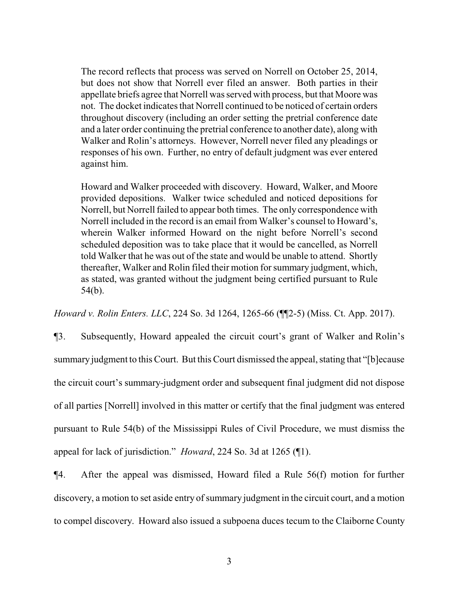The record reflects that process was served on Norrell on October 25, 2014, but does not show that Norrell ever filed an answer. Both parties in their appellate briefs agree that Norrell was served with process, but that Moore was not. The docket indicates that Norrell continued to be noticed of certain orders throughout discovery (including an order setting the pretrial conference date and a later order continuing the pretrial conference to another date), along with Walker and Rolin's attorneys. However, Norrell never filed any pleadings or responses of his own. Further, no entry of default judgment was ever entered against him.

Howard and Walker proceeded with discovery. Howard, Walker, and Moore provided depositions. Walker twice scheduled and noticed depositions for Norrell, but Norrell failed to appear both times. The only correspondence with Norrell included in the record is an email from Walker's counsel to Howard's, wherein Walker informed Howard on the night before Norrell's second scheduled deposition was to take place that it would be cancelled, as Norrell told Walker that he was out of the state and would be unable to attend. Shortly thereafter, Walker and Rolin filed their motion for summary judgment, which, as stated, was granted without the judgment being certified pursuant to Rule 54(b).

*Howard v. Rolin Enters. LLC*, 224 So. 3d 1264, 1265-66 (¶¶2-5) (Miss. Ct. App. 2017).

¶3. Subsequently, Howard appealed the circuit court's grant of Walker and Rolin's summary judgment to this Court. But this Court dismissed the appeal, stating that "[b]ecause the circuit court's summary-judgment order and subsequent final judgment did not dispose of all parties [Norrell] involved in this matter or certify that the final judgment was entered pursuant to Rule 54(b) of the Mississippi Rules of Civil Procedure, we must dismiss the appeal for lack of jurisdiction." *Howard*, 224 So. 3d at 1265 (¶1).

¶4. After the appeal was dismissed, Howard filed a Rule 56(f) motion for further discovery, a motion to set aside entry of summary judgment in the circuit court, and a motion to compel discovery. Howard also issued a subpoena duces tecum to the Claiborne County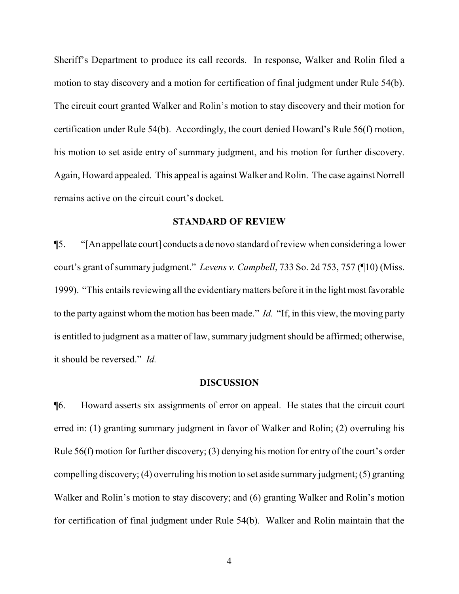Sheriff's Department to produce its call records. In response, Walker and Rolin filed a motion to stay discovery and a motion for certification of final judgment under Rule 54(b). The circuit court granted Walker and Rolin's motion to stay discovery and their motion for certification under Rule 54(b). Accordingly, the court denied Howard's Rule 56(f) motion, his motion to set aside entry of summary judgment, and his motion for further discovery. Again, Howard appealed. This appeal is against Walker and Rolin. The case against Norrell remains active on the circuit court's docket.

### **STANDARD OF REVIEW**

¶5. "[An appellate court] conducts a de novo standard ofreview when considering a lower court's grant of summary judgment." *Levens v. Campbell*, 733 So. 2d 753, 757 (¶10) (Miss. 1999). "This entails reviewing all the evidentiarymatters before it in the light most favorable to the party against whom the motion has been made." *Id.* "If, in this view, the moving party is entitled to judgment as a matter of law, summary judgment should be affirmed; otherwise, it should be reversed." *Id.* 

## **DISCUSSION**

¶6. Howard asserts six assignments of error on appeal. He states that the circuit court erred in: (1) granting summary judgment in favor of Walker and Rolin; (2) overruling his Rule 56(f) motion for further discovery; (3) denying his motion for entry of the court's order compelling discovery; (4) overruling his motion to set aside summary judgment; (5) granting Walker and Rolin's motion to stay discovery; and (6) granting Walker and Rolin's motion for certification of final judgment under Rule 54(b). Walker and Rolin maintain that the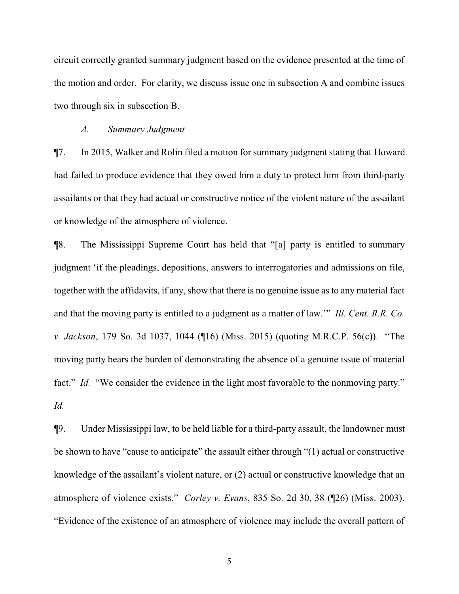circuit correctly granted summary judgment based on the evidence presented at the time of the motion and order. For clarity, we discuss issue one in subsection A and combine issues two through six in subsection B.

## *A. Summary Judgment*

¶7. In 2015, Walker and Rolin filed a motion for summary judgment stating that Howard had failed to produce evidence that they owed him a duty to protect him from third-party assailants or that they had actual or constructive notice of the violent nature of the assailant or knowledge of the atmosphere of violence.

¶8. The Mississippi Supreme Court has held that "[a] party is entitled to summary judgment 'if the pleadings, depositions, answers to interrogatories and admissions on file, together with the affidavits, if any, show that there is no genuine issue as to any material fact and that the moving party is entitled to a judgment as a matter of law.'" *Ill. Cent. R.R. Co. v. Jackson*, 179 So. 3d 1037, 1044 (¶16) (Miss. 2015) (quoting M.R.C.P. 56(c)). "The moving party bears the burden of demonstrating the absence of a genuine issue of material fact." *Id.* "We consider the evidence in the light most favorable to the nonmoving party." *Id.* 

¶9. Under Mississippi law, to be held liable for a third-party assault, the landowner must be shown to have "cause to anticipate" the assault either through "(1) actual or constructive knowledge of the assailant's violent nature, or (2) actual or constructive knowledge that an atmosphere of violence exists." *Corley v. Evans*, 835 So. 2d 30, 38 (¶26) (Miss. 2003). "Evidence of the existence of an atmosphere of violence may include the overall pattern of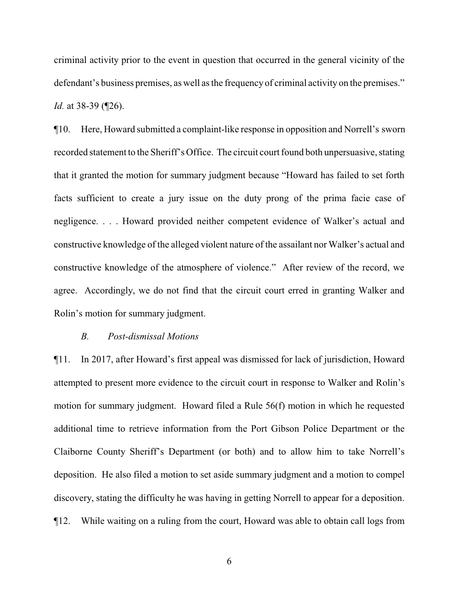criminal activity prior to the event in question that occurred in the general vicinity of the defendant's business premises, as well as the frequency of criminal activity on the premises." *Id.* at 38-39 (¶26).

¶10. Here, Howard submitted a complaint-like response in opposition and Norrell's sworn recorded statement to the Sheriff's Office. The circuit court found both unpersuasive, stating that it granted the motion for summary judgment because "Howard has failed to set forth facts sufficient to create a jury issue on the duty prong of the prima facie case of negligence. . . . Howard provided neither competent evidence of Walker's actual and constructive knowledge of the alleged violent nature of the assailant nor Walker's actual and constructive knowledge of the atmosphere of violence." After review of the record, we agree. Accordingly, we do not find that the circuit court erred in granting Walker and Rolin's motion for summary judgment.

#### *B. Post-dismissal Motions*

¶11. In 2017, after Howard's first appeal was dismissed for lack of jurisdiction, Howard attempted to present more evidence to the circuit court in response to Walker and Rolin's motion for summary judgment. Howard filed a Rule 56(f) motion in which he requested additional time to retrieve information from the Port Gibson Police Department or the Claiborne County Sheriff's Department (or both) and to allow him to take Norrell's deposition. He also filed a motion to set aside summary judgment and a motion to compel discovery, stating the difficulty he was having in getting Norrell to appear for a deposition. ¶12. While waiting on a ruling from the court, Howard was able to obtain call logs from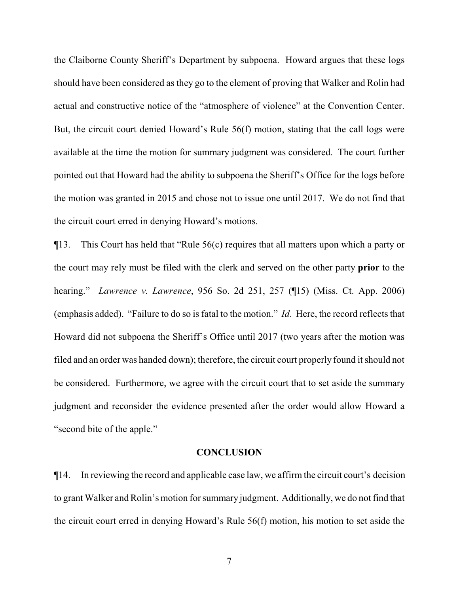the Claiborne County Sheriff's Department by subpoena. Howard argues that these logs should have been considered as they go to the element of proving that Walker and Rolin had actual and constructive notice of the "atmosphere of violence" at the Convention Center. But, the circuit court denied Howard's Rule 56(f) motion, stating that the call logs were available at the time the motion for summary judgment was considered. The court further pointed out that Howard had the ability to subpoena the Sheriff's Office for the logs before the motion was granted in 2015 and chose not to issue one until 2017. We do not find that the circuit court erred in denying Howard's motions.

¶13. This Court has held that "Rule 56(c) requires that all matters upon which a party or the court may rely must be filed with the clerk and served on the other party **prior** to the hearing." *Lawrence v. Lawrence*, 956 So. 2d 251, 257 (¶15) (Miss. Ct. App. 2006) (emphasis added). "Failure to do so is fatal to the motion." *Id*. Here, the record reflects that Howard did not subpoena the Sheriff's Office until 2017 (two years after the motion was filed and an order was handed down); therefore, the circuit court properly found it should not be considered. Furthermore, we agree with the circuit court that to set aside the summary judgment and reconsider the evidence presented after the order would allow Howard a "second bite of the apple."

#### **CONCLUSION**

¶14. In reviewing the record and applicable case law, we affirm the circuit court's decision to grant Walker and Rolin's motion for summary judgment. Additionally, we do not find that the circuit court erred in denying Howard's Rule 56(f) motion, his motion to set aside the